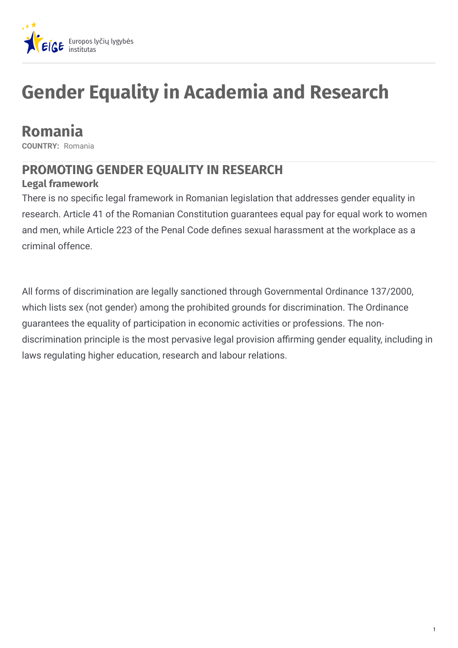

# **Gender Equality in Academia and Research**

## **Romania**

**COUNTRY:** Romania

### **PROMOTING GENDER EQUALITY IN RESEARCH**

### **Legal framework**

There is no specific legal framework in Romanian legislation that addresses gender equality in research. Article 41 of the Romanian Constitution guarantees equal pay for equal work to women and men, while Article 223 of the Penal Code defines sexual harassment at the workplace as a criminal offence.

All forms of discrimination are legally sanctioned through Governmental Ordinance 137/2000, which lists sex (not gender) among the prohibited grounds for discrimination. The Ordinance guarantees the equality of participation in economic activities or professions. The nondiscrimination principle is the most pervasive legal provision affirming gender equality, including in laws regulating higher education, research and labour relations.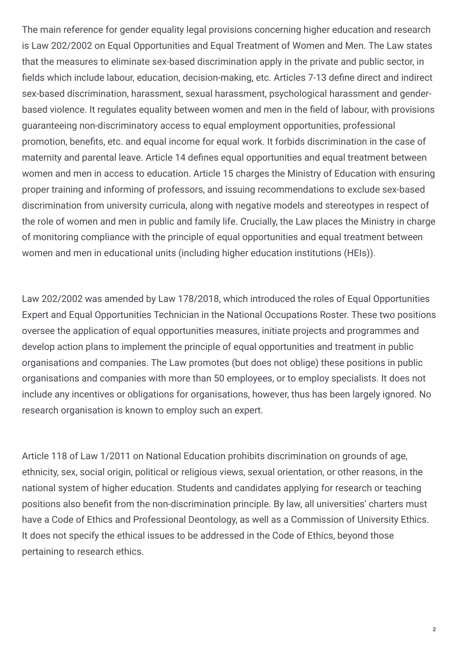The main reference for gender equality legal provisions concerning higher education and research is Law 202/2002 on Equal Opportunities and Equal Treatment of Women and Men. The Law states that the measures to eliminate sex-based discrimination apply in the private and public sector, in fields which include labour, education, decision-making, etc. Articles 7-13 define direct and indirect sex-based discrimination, harassment, sexual harassment, psychological harassment and genderbased violence. It regulates equality between women and men in the field of labour, with provisions guaranteeing non-discriminatory access to equal employment opportunities, professional promotion, benefits, etc. and equal income for equal work. It forbids discrimination in the case of maternity and parental leave. Article 14 defines equal opportunities and equal treatment between women and men in access to education. Article 15 charges the Ministry of Education with ensuring proper training and informing of professors, and issuing recommendations to exclude sex-based discrimination from university curricula, along with negative models and stereotypes in respect of the role of women and men in public and family life. Crucially, the Law places the Ministry in charge of monitoring compliance with the principle of equal opportunities and equal treatment between women and men in educational units (including higher education institutions (HEIs)).

Law 202/2002 was amended by Law 178/2018, which introduced the roles of Equal Opportunities Expert and Equal Opportunities Technician in the National Occupations Roster. These two positions oversee the application of equal opportunities measures, initiate projects and programmes and develop action plans to implement the principle of equal opportunities and treatment in public organisations and companies. The Law promotes (but does not oblige) these positions in public organisations and companies with more than 50 employees, or to employ specialists. It does not include any incentives or obligations for organisations, however, thus has been largely ignored. No research organisation is known to employ such an expert.

Article 118 of Law 1/2011 on National Education prohibits discrimination on grounds of age, ethnicity, sex, social origin, political or religious views, sexual orientation, or other reasons, in the national system of higher education. Students and candidates applying for research or teaching positions also benefit from the non-discrimination principle. By law, all universities' charters must have a Code of Ethics and Professional Deontology, as well as a Commission of University Ethics. It does not specify the ethical issues to be addressed in the Code of Ethics, beyond those pertaining to research ethics.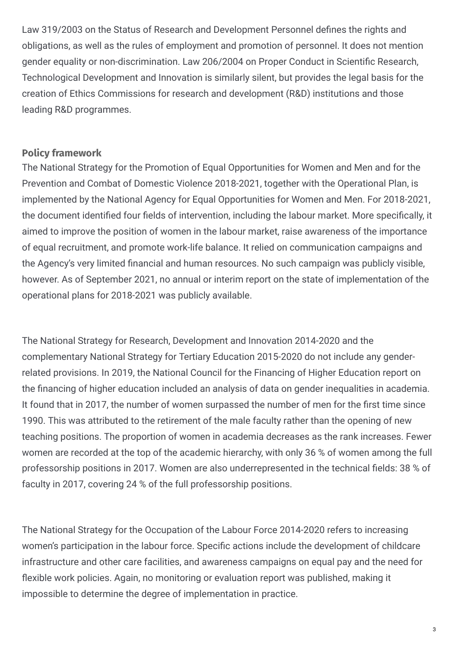Law 319/2003 on the Status of Research and Development Personnel defines the rights and obligations, as well as the rules of employment and promotion of personnel. It does not mention gender equality or non-discrimination. Law 206/2004 on Proper Conduct in Scientific Research, Technological Development and Innovation is similarly silent, but provides the legal basis for the creation of Ethics Commissions for research and development (R&D) institutions and those leading R&D programmes.

### **Policy framework**

The National Strategy for the Promotion of Equal Opportunities for Women and Men and for the Prevention and Combat of Domestic Violence 2018-2021, together with the Operational Plan, is implemented by the National Agency for Equal Opportunities for Women and Men. For 2018-2021, the document identified four fields of intervention, including the labour market. More specifically, it aimed to improve the position of women in the labour market, raise awareness of the importance of equal recruitment, and promote work-life balance. It relied on communication campaigns and the Agency's very limited financial and human resources. No such campaign was publicly visible, however. As of September 2021, no annual or interim report on the state of implementation of the operational plans for 2018-2021 was publicly available.

The National Strategy for Research, Development and Innovation 2014-2020 and the complementary National Strategy for Tertiary Education 2015-2020 do not include any genderrelated provisions. In 2019, the National Council for the Financing of Higher Education report on the financing of higher education included an analysis of data on gender inequalities in academia. It found that in 2017, the number of women surpassed the number of men for the first time since 1990. This was attributed to the retirement of the male faculty rather than the opening of new teaching positions. The proportion of women in academia decreases as the rank increases. Fewer women are recorded at the top of the academic hierarchy, with only 36 % of women among the full professorship positions in 2017. Women are also underrepresented in the technical fields: 38 % of faculty in 2017, covering 24 % of the full professorship positions.

The National Strategy for the Occupation of the Labour Force 2014-2020 refers to increasing women's participation in the labour force. Specific actions include the development of childcare infrastructure and other care facilities, and awareness campaigns on equal pay and the need for flexible work policies. Again, no monitoring or evaluation report was published, making it impossible to determine the degree of implementation in practice.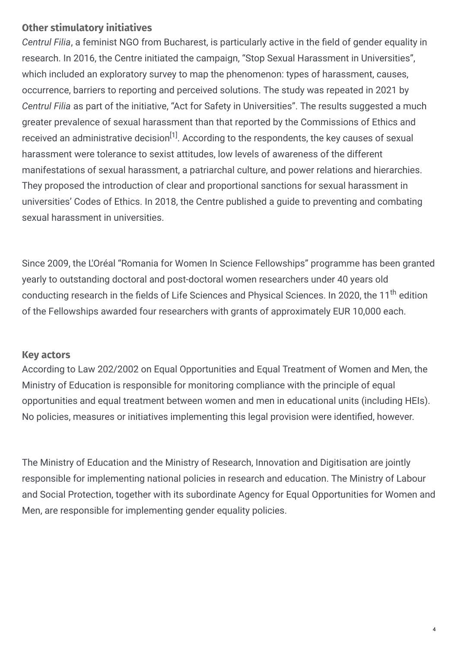### **Other stimulatory initiatives**

*Centrul Filia*, a feminist NGO from Bucharest, is particularly active in the field of gender equality in research. In 2016, the Centre initiated the campaign, "Stop Sexual Harassment in Universities", which included an exploratory survey to map the phenomenon: types of harassment, causes, occurrence, barriers to reporting and perceived solutions. The study was repeated in 2021 by *Centrul Filia* as part of the initiative, "Act for Safety in Universities". The results suggested a much greater prevalence of sexual harassment than that reported by the Commissions of Ethics and received an administrative decision<sup>[1]</sup>. According to the respondents, the key causes of sexual harassment were tolerance to sexist attitudes, low levels of awareness of the different manifestations of sexual harassment, a patriarchal culture, and power relations and hierarchies. They proposed the introduction of clear and proportional sanctions for sexual harassment in universities' Codes of Ethics. In 2018, the Centre published a guide to preventing and combating sexual harassment in universities.

Since 2009, the L'Oréal "Romania for Women In Science Fellowships" programme has been granted yearly to outstanding doctoral and post-doctoral women researchers under 40 years old conducting research in the fields of Life Sciences and Physical Sciences. In 2020, the 11<sup>th</sup> edition of the Fellowships awarded four researchers with grants of approximately EUR 10,000 each.

### **Key actors**

According to Law 202/2002 on Equal Opportunities and Equal Treatment of Women and Men, the Ministry of Education is responsible for monitoring compliance with the principle of equal opportunities and equal treatment between women and men in educational units (including HEIs). No policies, measures or initiatives implementing this legal provision were identified, however.

The Ministry of Education and the Ministry of Research, Innovation and Digitisation are jointly responsible for implementing national policies in research and education. The Ministry of Labour and Social Protection, together with its subordinate Agency for Equal Opportunities for Women and Men, are responsible for implementing gender equality policies.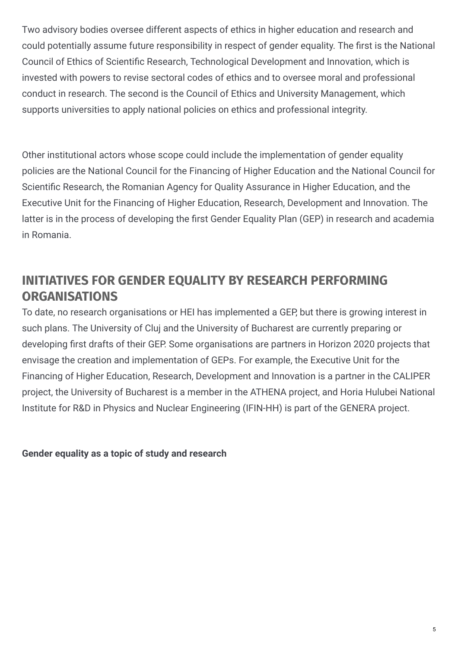Two advisory bodies oversee different aspects of ethics in higher education and research and could potentially assume future responsibility in respect of gender equality. The first is the National Council of Ethics of Scientific Research, Technological Development and Innovation, which is invested with powers to revise sectoral codes of ethics and to oversee moral and professional conduct in research. The second is the Council of Ethics and University Management, which supports universities to apply national policies on ethics and professional integrity.

Other institutional actors whose scope could include the implementation of gender equality policies are the National Council for the Financing of Higher Education and the National Council for Scientific Research, the Romanian Agency for Quality Assurance in Higher Education, and the Executive Unit for the Financing of Higher Education, Research, Development and Innovation. The latter is in the process of developing the first Gender Equality Plan (GEP) in research and academia in Romania.

### **INITIATIVES FOR GENDER EQUALITY BY RESEARCH PERFORMING ORGANISATIONS**

To date, no research organisations or HEI has implemented a GEP, but there is growing interest in such plans. The University of Cluj and the University of Bucharest are currently preparing or developing first drafts of their GEP. Some organisations are partners in Horizon 2020 projects that envisage the creation and implementation of GEPs. For example, the Executive Unit for the Financing of Higher Education, Research, Development and Innovation is a partner in the CALIPER project, the University of Bucharest is a member in the ATHENA project, and Horia Hulubei National Institute for R&D in Physics and Nuclear Engineering (IFIN-HH) is part of the GENERA project.

**Gender equality as a topic of study and research**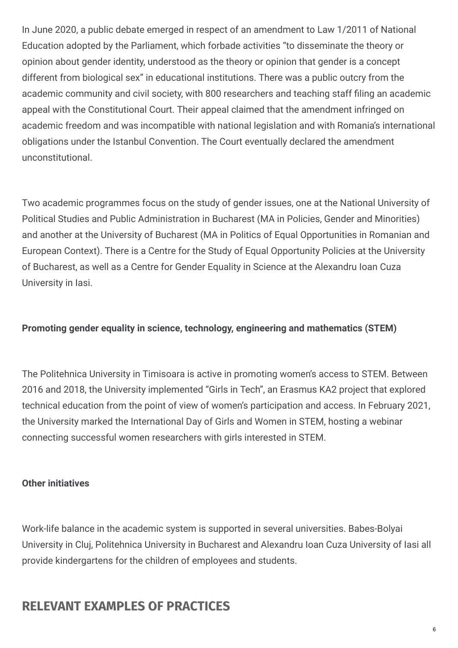In June 2020, a public debate emerged in respect of an amendment to Law 1/2011 of National Education adopted by the Parliament, which forbade activities "to disseminate the theory or opinion about gender identity, understood as the theory or opinion that gender is a concept different from biological sex" in educational institutions. There was a public outcry from the academic community and civil society, with 800 researchers and teaching staff filing an academic appeal with the Constitutional Court. Their appeal claimed that the amendment infringed on academic freedom and was incompatible with national legislation and with Romania's international obligations under the Istanbul Convention. The Court eventually declared the amendment unconstitutional.

Two academic programmes focus on the study of gender issues, one at the National University of Political Studies and Public Administration in Bucharest (MA in Policies, Gender and Minorities) and another at the University of Bucharest (MA in Politics of Equal Opportunities in Romanian and European Context). There is a Centre for the Study of Equal Opportunity Policies at the University of Bucharest, as well as a Centre for Gender Equality in Science at the Alexandru Ioan Cuza University in Iasi.

#### **Promoting gender equality in science, technology, engineering and mathematics (STEM)**

The Politehnica University in Timisoara is active in promoting women's access to STEM. Between 2016 and 2018, the University implemented "Girls in Tech", an Erasmus KA2 project that explored technical education from the point of view of women's participation and access. In February 2021, the University marked the International Day of Girls and Women in STEM, hosting a webinar connecting successful women researchers with girls interested in STEM.

#### **Other initiatives**

Work-life balance in the academic system is supported in several universities. Babes-Bolyai University in Cluj, Politehnica University in Bucharest and Alexandru Ioan Cuza University of Iasi all provide kindergartens for the children of employees and students.

### **RELEVANT EXAMPLES OF PRACTICES**